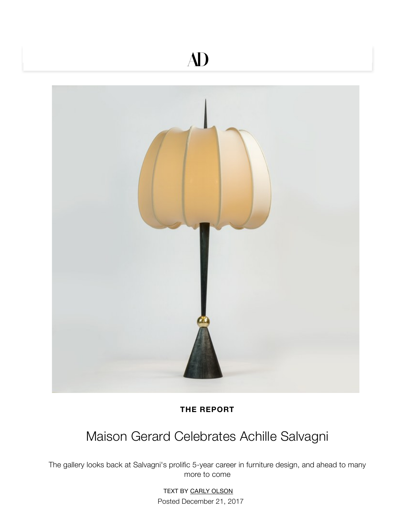# **AD**



**THE REPORT**

# [Maison Gerard Celebrates Achille Salvagni](https://www.architecturaldigest.com/ad-pro/the-report)

The gallery looks back at Salvagni's prolific 5-year career in furniture design, and ahead to many more to come

> TEXT BY CARLY OLSON Posted December 21, 2017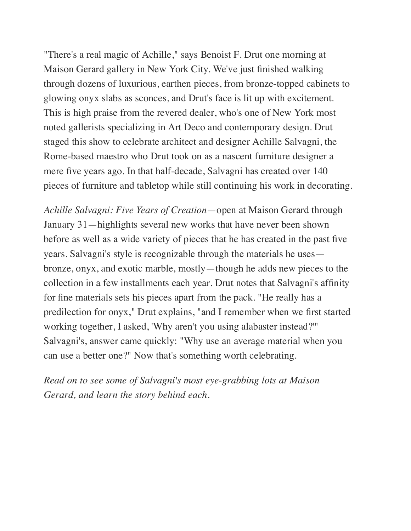["There](https://www.architecturaldigest.com/gallery/maison-gerard-celebrates-achille-salvagni)'[s a real magic o](https://www.architecturaldigest.com/gallery/maison-gerard-celebrates-achille-salvagni)f Achille," says Benoist F. Drut one morning at Maison Gerard gallery in New York City. We've just finished walking through dozens of luxurious, earthen pieces, from bronze-topped cabinets to glowing onyx slabs as sconces, and Drut's face is lit up with excitement. This is high praise from the revered dealer, who's one of New York most noted gallerists specializing in Art Deco and contemporary design. Drut staged this show to celebrate architect and designer Achille Salvagni, the Rome-based maestro who Drut took on as a nascent furniture designer a mere five years ago. In that half-decade, Salvagni has created over 140 pieces of furniture and tabletop while still continuing his work in decorating.

*Achille Salvagni: Five Years of Creation*—open at Maison Gerard through January 31—highlights several new works that have never been shown before as well as a wide variety of pieces that he has created in the past five years. Salvagni's style is recognizable through the materials he uses bronze, onyx, and exotic marble, mostly—though he adds new pieces to the collection in a few installments each year. Drut notes that Salvagni's affinity for fine materials sets his pieces apart from the pack. "He really has a predilection for onyx," Drut explains, "and I remember when we first started working together, I asked, 'Why aren't you using alabaster instead?'" Salvagni's, answer came quickly: "Why use an average material when you can use a better one?" Now that's something worth celebrating.

*Read on to see some of Salvagni's most eye-grabbing lots at Maison Gerard, and learn the story behind each.*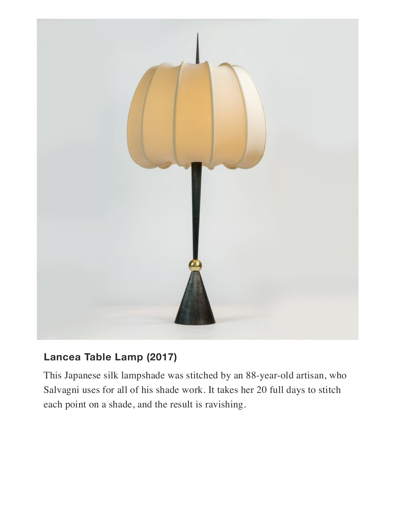

### **Lancea Table Lamp (2017)**

This Japanese silk lampshade was stitched by an 88-year-old artisan, who Salvagni uses for all of his shade work. It takes her 20 full days to stitch each point on a shade, and the result is ravishing.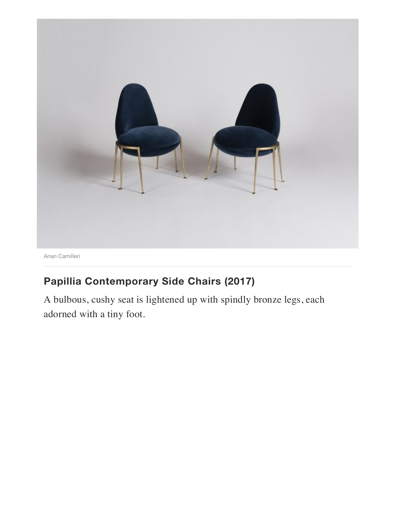

Arian Camilleri

## **Papillia Contemporary Side Chairs (2017)**

A bulbous, cushy seat is lightened up with spindly bronze legs, each adorned with a tiny foot.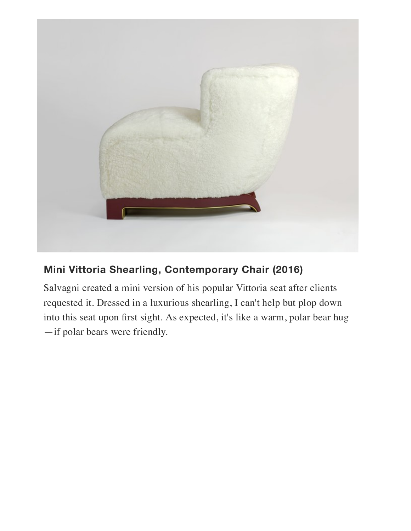

### **Mini Vittoria Shearling, Contemporary Chair (2016)**

Salvagni created a mini version of his popular Vittoria seat after clients requested it. Dressed in a luxurious shearling, I can't help but plop down into this seat upon first sight. As expected, it's like a warm, polar bear hug —if polar bears were friendly.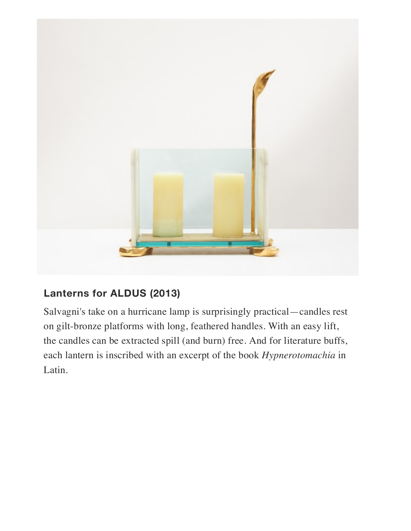

# **Lanterns for ALDUS (2013)**

Salvagni's take on a hurricane lamp is surprisingly practical—candles rest on gilt-bronze platforms with long, feathered handles. With an easy lift, the candles can be extracted spill (and burn) free. And for literature buffs, each lantern is inscribed with an excerpt of the book *Hypnerotomachia* in Latin.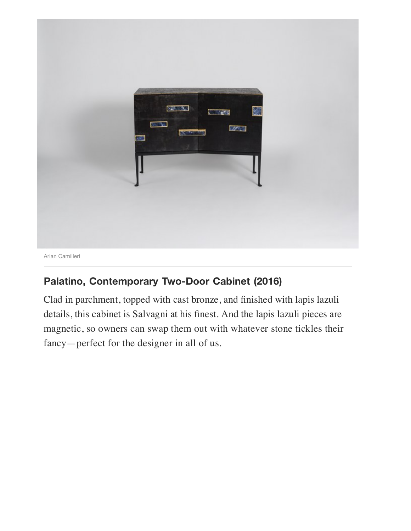

Arian Camilleri

#### **Palatino, Contemporary Two-Door Cabinet (2016)**

Clad in parchment, topped with cast bronze, and finished with lapis lazuli details, this cabinet is Salvagni at his finest. And the lapis lazuli pieces are magnetic, so owners can swap them out with whatever stone tickles their fancy—perfect for the designer in all of us.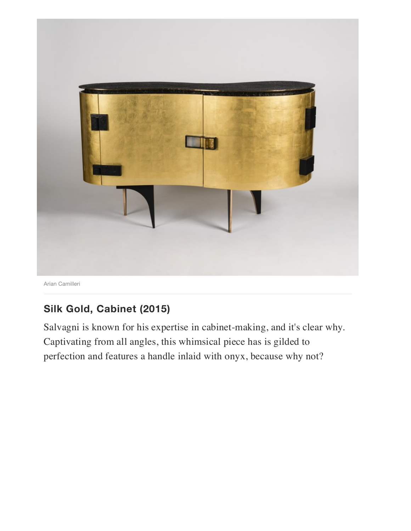

# **Silk Gold, Cabinet (2015)**

Salvagni is known for his expertise in cabinet-making, and it's clear why. Captivating from all angles, this whimsical piece has is gilded to perfection and features a handle inlaid with onyx, because why not?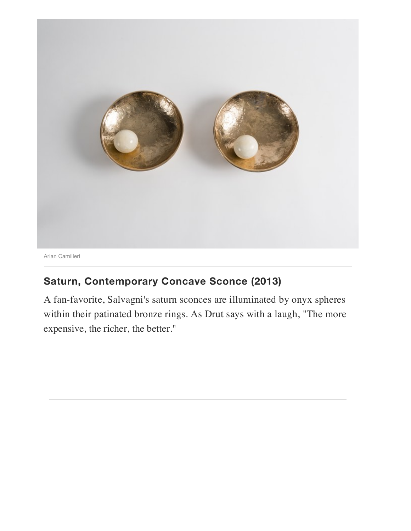

#### **Saturn, Contemporary Concave Sconce (2013)**

A fan-favorite, Salvagni's saturn sconces are illuminated by onyx spheres within their patinated bronze rings. As Drut says with a laugh, "The more expensive, the richer, the better."